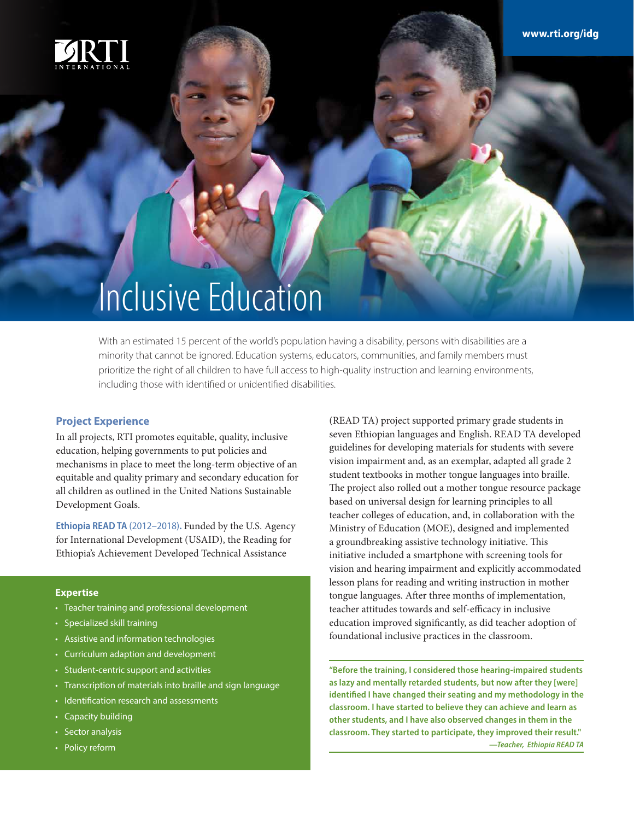

## Inclusive Education

With an estimated 15 percent of the world's population having a disability, persons with disabilities are a minority that cannot be ignored. Education systems, educators, communities, and family members must prioritize the right of all children to have full access to high-quality instruction and learning environments, including those with identified or unidentified disabilities.

## **Project Experience**

In all projects, RTI promotes equitable, quality, inclusive education, helping governments to put policies and mechanisms in place to meet the long-term objective of an equitable and quality primary and secondary education for all children as outlined in the United Nations Sustainable Development Goals.

**Ethiopia READ TA** (2012–2018)**.** Funded by the U.S. Agency for International Development (USAID), the Reading for Ethiopia's Achievement Developed Technical Assistance

## **Expertise**

- Teacher training and professional development
- Specialized skill training
- Assistive and information technologies
- Curriculum adaption and development
- Student-centric support and activities
- Transcription of materials into braille and sign language
- Identification research and assessments
- Capacity building
- Sector analysis
- Policy reform

(READ TA) project supported primary grade students in seven Ethiopian languages and English. READ TA developed guidelines for developing materials for students with severe vision impairment and, as an exemplar, adapted all grade 2 student textbooks in mother tongue languages into braille. The project also rolled out a mother tongue resource package based on universal design for learning principles to all teacher colleges of education, and, in collaboration with the Ministry of Education (MOE), designed and implemented a groundbreaking assistive technology initiative. This initiative included a smartphone with screening tools for vision and hearing impairment and explicitly accommodated lesson plans for reading and writing instruction in mother tongue languages. After three months of implementation, teacher attitudes towards and self-efficacy in inclusive education improved significantly, as did teacher adoption of foundational inclusive practices in the classroom.

**"Before the training, I considered those hearing-impaired students as lazy and mentally retarded students, but now after they [were] identified I have changed their seating and my methodology in the classroom. I have started to believe they can achieve and learn as other students, and I have also observed changes in them in the classroom. They started to participate, they improved their result."**  *—Teacher, Ethiopia READ TA*